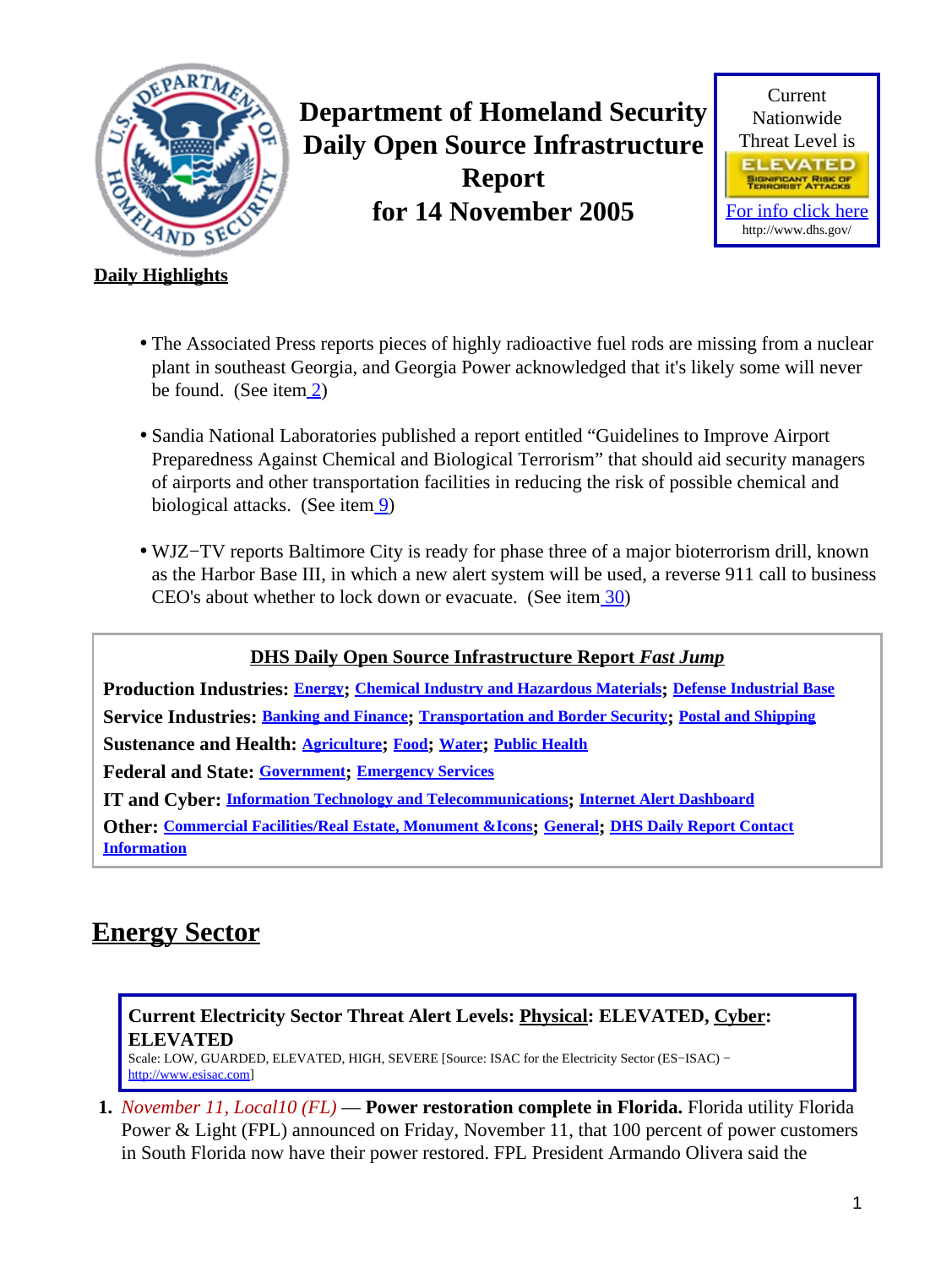<span id="page-0-1"></span>

**Department of Homeland Security Daily Open Source Infrastructure Report for 14 November 2005**



### **Daily Highlights**

- The Associated Press reports pieces of highly radioactive fuel rods are missing from a nuclear plant in southeast Georgia, and Georgia Power acknowledged that it's likely some will never be found. (See item [2\)](#page-1-0)
- Sandia National Laboratories published a report entitled "Guidelines to Improve Airport Preparedness Against Chemical and Biological Terrorism" that should aid security managers of airports and other transportation facilities in reducing the risk of possible chemical and biological attacks. (See item [9\)](#page-3-0)
- WJZ−TV reports Baltimore City is ready for phase three of a major bioterrorism drill, known as the Harbor Base III, in which a new alert system will be used, a reverse 911 call to business CEO's about whether to lock down or evacuate. (See ite[m 30](#page-11-0))

**DHS Daily Open Source Infrastructure Report** *Fast Jump*

**Production Industries: [Energy](#page-0-0); [Chemical Industry and Hazardous Materials](#page-1-1); [Defense Industrial Base](#page-1-2) Service Industries: [Banking and Finance](#page-2-0); [Transportation and Border Security](#page-2-1); [Postal and Shipping](#page-4-0) Sustenance and Health: [Agriculture](#page-4-1); [Food](#page-5-0); [Water](#page-6-0); [Public Health](#page-7-0) Federal and State: [Government](#page-9-0); [Emergency Services](#page-10-0) IT and Cyber: [Information Technology and Telecommunications](#page-12-0); [Internet Alert Dashboard](#page-12-1) Other: [Commercial Facilities/Real Estate, Monument &Icons](#page-13-0); [General](#page-14-0); [DHS Daily Report Contact](#page-15-0) [Information](#page-15-0)**

# <span id="page-0-0"></span>**Energy Sector**

### **Current Electricity Sector Threat Alert Levels: Physical: ELEVATED, Cyber: ELEVATED**

Scale: LOW, GUARDED, ELEVATED, HIGH, SEVERE [Source: ISAC for the Electricity Sector (ES−ISAC) − [http://www.esisac.com](http://esisac.com)]

**1.** *November 11, Local10 (FL)* — **Power restoration complete in Florida.** Florida utility Florida Power & Light (FPL) announced on Friday, November 11, that 100 percent of power customers in South Florida now have their power restored. FPL President Armando Olivera said the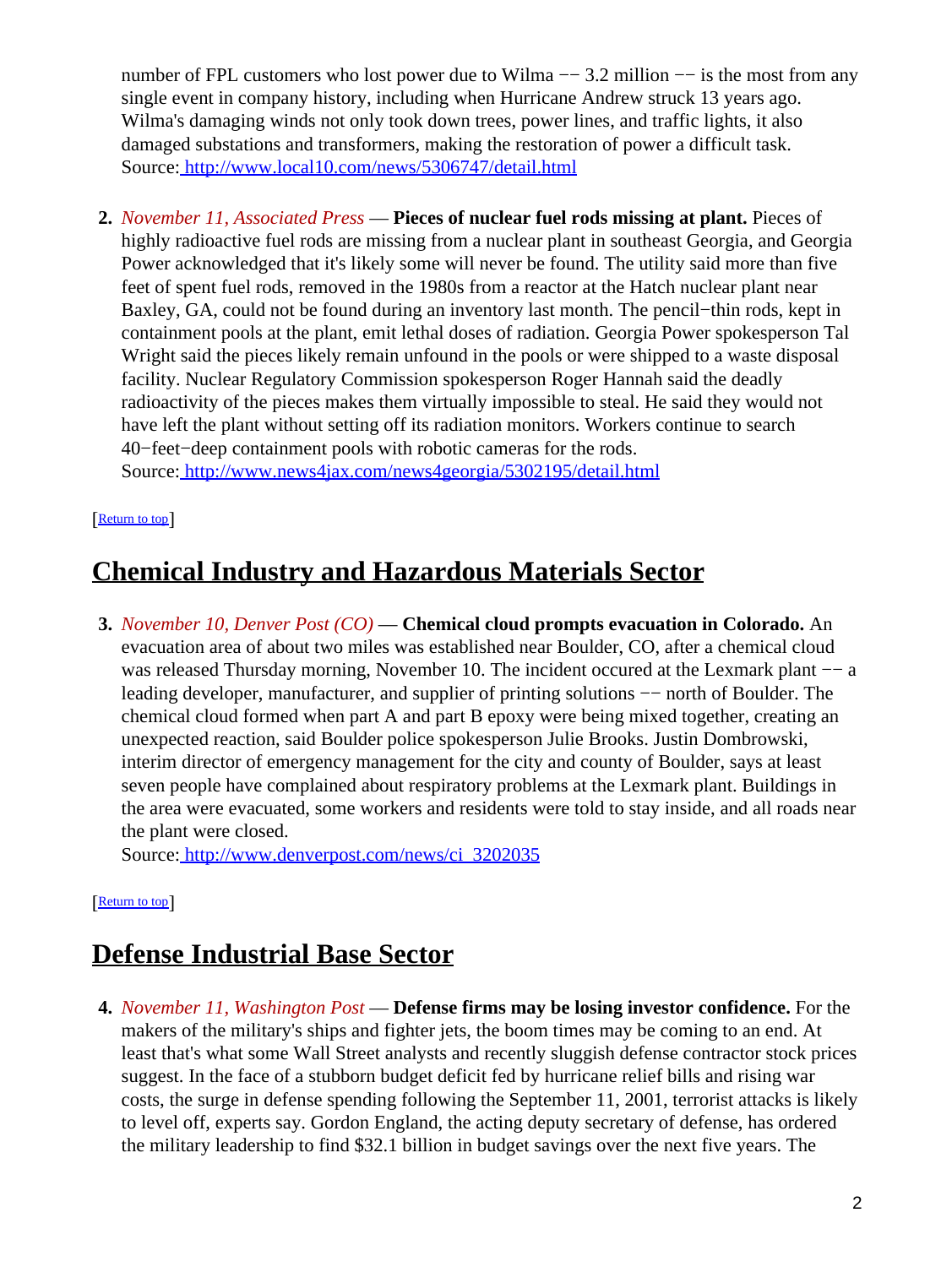number of FPL customers who lost power due to Wilma −− 3.2 million −− is the most from any single event in company history, including when Hurricane Andrew struck 13 years ago. Wilma's damaging winds not only took down trees, power lines, and traffic lights, it also damaged substations and transformers, making the restoration of power a difficult task. Source[: http://www.local10.com/news/5306747/detail.html](http://www.local10.com/news/5306747/detail.html)

<span id="page-1-0"></span>**2.** *November 11, Associated Press* — **Pieces of nuclear fuel rods missing at plant.** Pieces of highly radioactive fuel rods are missing from a nuclear plant in southeast Georgia, and Georgia Power acknowledged that it's likely some will never be found. The utility said more than five feet of spent fuel rods, removed in the 1980s from a reactor at the Hatch nuclear plant near Baxley, GA, could not be found during an inventory last month. The pencil−thin rods, kept in containment pools at the plant, emit lethal doses of radiation. Georgia Power spokesperson Tal Wright said the pieces likely remain unfound in the pools or were shipped to a waste disposal facility. Nuclear Regulatory Commission spokesperson Roger Hannah said the deadly radioactivity of the pieces makes them virtually impossible to steal. He said they would not have left the plant without setting off its radiation monitors. Workers continue to search 40−feet−deep containment pools with robotic cameras for the rods. Source[: http://www.news4jax.com/news4georgia/5302195/detail.html](http://www.news4jax.com/news4georgia/5302195/detail.html)

### [[Return to top](#page-0-1)]

# <span id="page-1-1"></span>**Chemical Industry and Hazardous Materials Sector**

**3.** *November 10, Denver Post (CO)* — **Chemical cloud prompts evacuation in Colorado.** An evacuation area of about two miles was established near Boulder, CO, after a chemical cloud was released Thursday morning, November 10. The incident occured at the Lexmark plant −− a leading developer, manufacturer, and supplier of printing solutions −− north of Boulder. The chemical cloud formed when part A and part B epoxy were being mixed together, creating an unexpected reaction, said Boulder police spokesperson Julie Brooks. Justin Dombrowski, interim director of emergency management for the city and county of Boulder, says at least seven people have complained about respiratory problems at the Lexmark plant. Buildings in the area were evacuated, some workers and residents were told to stay inside, and all roads near the plant were closed.

Source[: http://www.denverpost.com/news/ci\\_3202035](http://www.denverpost.com/news/ci_3202035)

#### [[Return to top](#page-0-1)]

## <span id="page-1-2"></span>**Defense Industrial Base Sector**

**4.** *November 11, Washington Post* — **Defense firms may be losing investor confidence.** For the makers of the military's ships and fighter jets, the boom times may be coming to an end. At least that's what some Wall Street analysts and recently sluggish defense contractor stock prices suggest. In the face of a stubborn budget deficit fed by hurricane relief bills and rising war costs, the surge in defense spending following the September 11, 2001, terrorist attacks is likely to level off, experts say. Gordon England, the acting deputy secretary of defense, has ordered the military leadership to find \$32.1 billion in budget savings over the next five years. The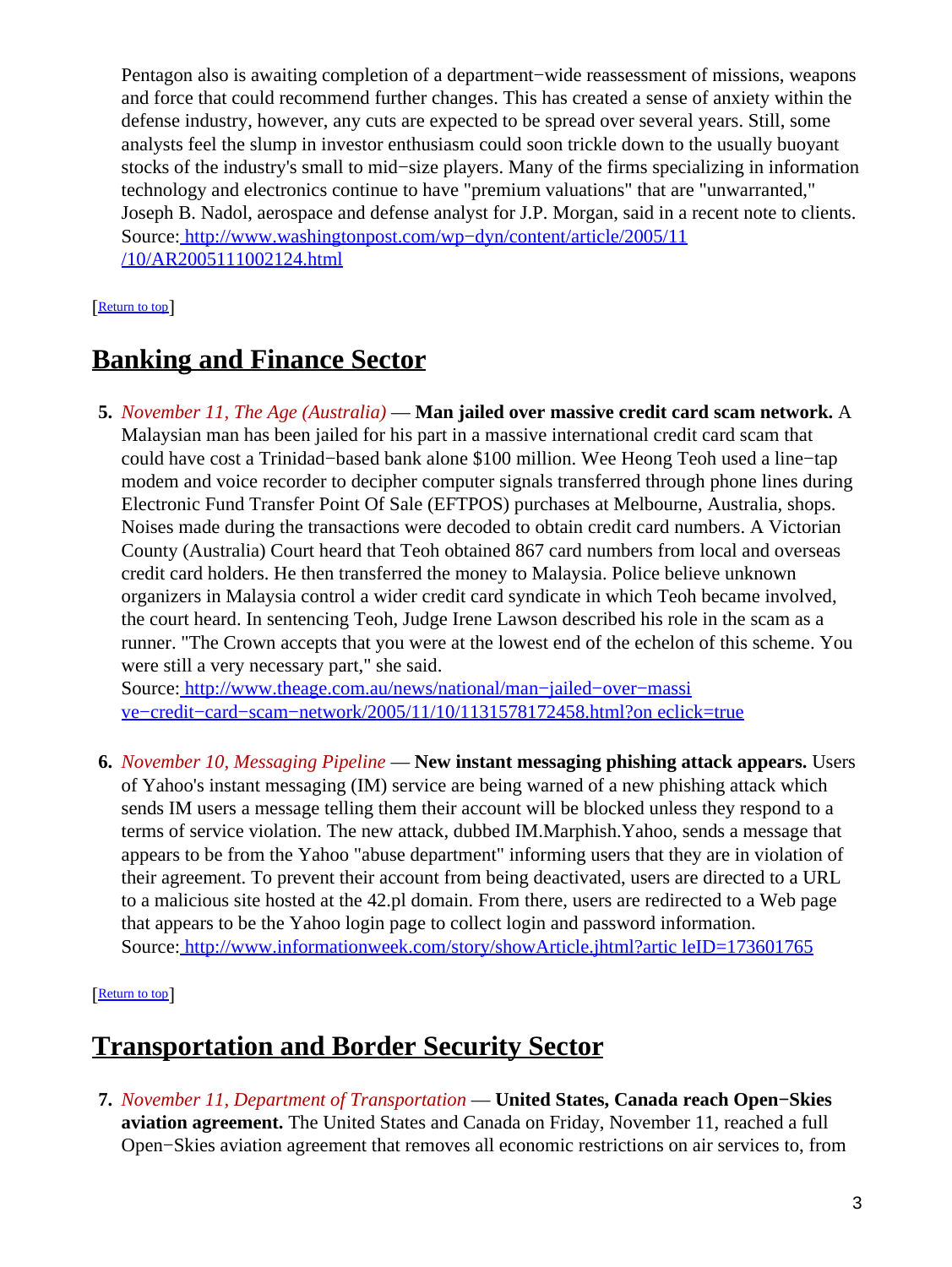Pentagon also is awaiting completion of a department−wide reassessment of missions, weapons and force that could recommend further changes. This has created a sense of anxiety within the defense industry, however, any cuts are expected to be spread over several years. Still, some analysts feel the slump in investor enthusiasm could soon trickle down to the usually buoyant stocks of the industry's small to mid−size players. Many of the firms specializing in information technology and electronics continue to have "premium valuations" that are "unwarranted," Joseph B. Nadol, aerospace and defense analyst for J.P. Morgan, said in a recent note to clients. Source[: http://www.washingtonpost.com/wp−dyn/content/article/2005/11](http://www.washingtonpost.com/wp-dyn/content/article/2005/11/10/AR2005111002124.html) [/10/AR2005111002124.html](http://www.washingtonpost.com/wp-dyn/content/article/2005/11/10/AR2005111002124.html)

### [Return to top](#page-0-1)

# <span id="page-2-0"></span>**Banking and Finance Sector**

**5.** *November 11, The Age (Australia)* — **Man jailed over massive credit card scam network.** A Malaysian man has been jailed for his part in a massive international credit card scam that could have cost a Trinidad−based bank alone \$100 million. Wee Heong Teoh used a line−tap modem and voice recorder to decipher computer signals transferred through phone lines during Electronic Fund Transfer Point Of Sale (EFTPOS) purchases at Melbourne, Australia, shops. Noises made during the transactions were decoded to obtain credit card numbers. A Victorian County (Australia) Court heard that Teoh obtained 867 card numbers from local and overseas credit card holders. He then transferred the money to Malaysia. Police believe unknown organizers in Malaysia control a wider credit card syndicate in which Teoh became involved, the court heard. In sentencing Teoh, Judge Irene Lawson described his role in the scam as a runner. "The Crown accepts that you were at the lowest end of the echelon of this scheme. You were still a very necessary part," she said.

Source[: http://www.theage.com.au/news/national/man−jailed−over−massi](http://www.theage.com.au/news/national/man-jailed-over-massive-credit-card-scam-network/2005/11/10/1131578172458.html?oneclick=true) [ve−credit−card−scam−network/2005/11/10/1131578172458.html?on eclick=true](http://www.theage.com.au/news/national/man-jailed-over-massive-credit-card-scam-network/2005/11/10/1131578172458.html?oneclick=true)

**6.** *November 10, Messaging Pipeline* — **New instant messaging phishing attack appears.** Users of Yahoo's instant messaging (IM) service are being warned of a new phishing attack which sends IM users a message telling them their account will be blocked unless they respond to a terms of service violation. The new attack, dubbed IM.Marphish.Yahoo, sends a message that appears to be from the Yahoo "abuse department" informing users that they are in violation of their agreement. To prevent their account from being deactivated, users are directed to a URL to a malicious site hosted at the 42.pl domain. From there, users are redirected to a Web page that appears to be the Yahoo login page to collect login and password information. Source[: http://www.informationweek.com/story/showArticle.jhtml?artic leID=173601765](http://www.informationweek.com/story/showArticle.jhtml?articleID=173601765)

### [[Return to top](#page-0-1)]

# <span id="page-2-1"></span>**Transportation and Border Security Sector**

**7.** *November 11, Department of Transportation* — **United States, Canada reach Open−Skies aviation agreement.** The United States and Canada on Friday, November 11, reached a full Open−Skies aviation agreement that removes all economic restrictions on air services to, from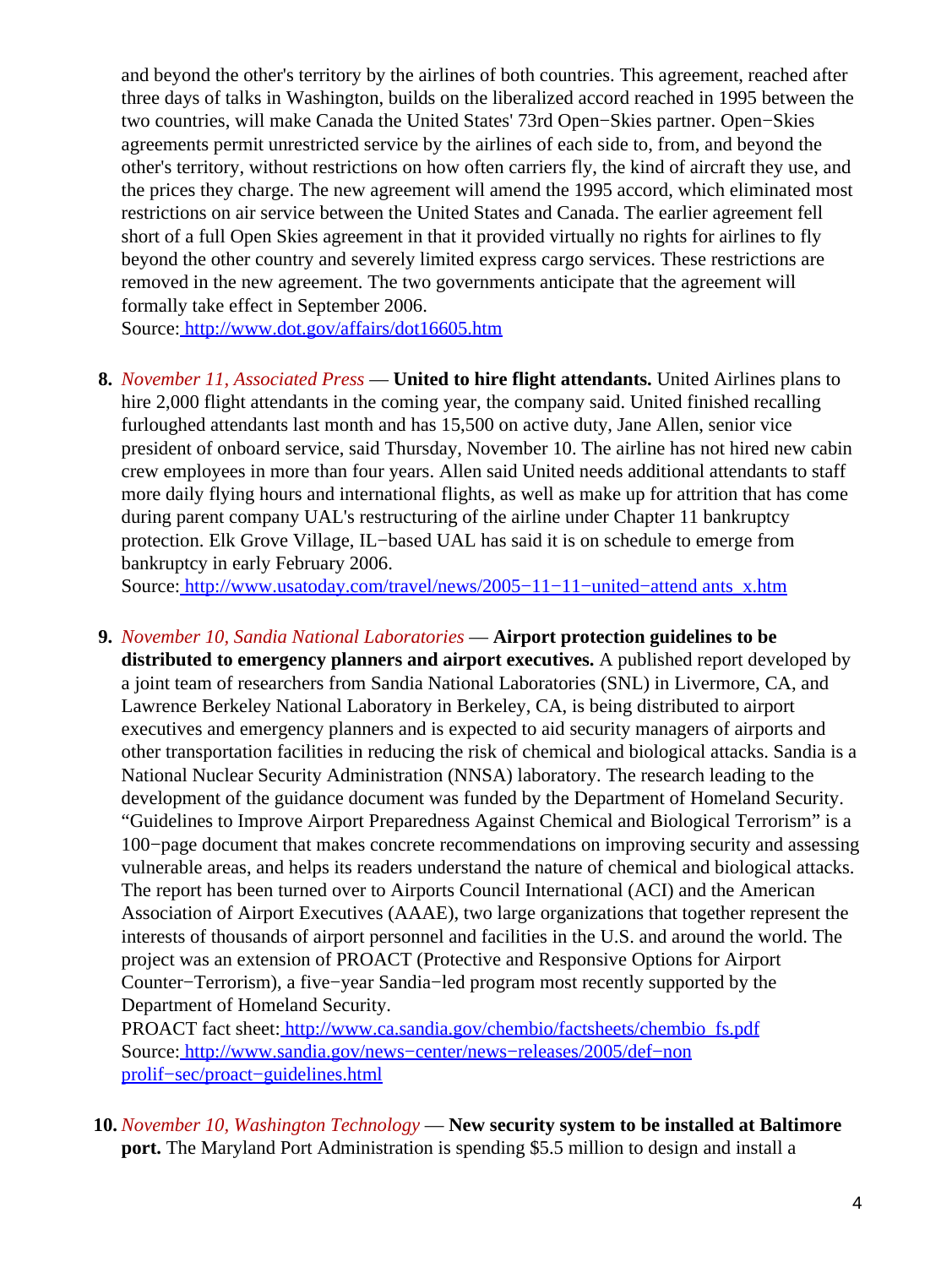and beyond the other's territory by the airlines of both countries. This agreement, reached after three days of talks in Washington, builds on the liberalized accord reached in 1995 between the two countries, will make Canada the United States' 73rd Open−Skies partner. Open−Skies agreements permit unrestricted service by the airlines of each side to, from, and beyond the other's territory, without restrictions on how often carriers fly, the kind of aircraft they use, and the prices they charge. The new agreement will amend the 1995 accord, which eliminated most restrictions on air service between the United States and Canada. The earlier agreement fell short of a full Open Skies agreement in that it provided virtually no rights for airlines to fly beyond the other country and severely limited express cargo services. These restrictions are removed in the new agreement. The two governments anticipate that the agreement will formally take effect in September 2006.

Source[: http://www.dot.gov/affairs/dot16605.htm](http://www.dot.gov/affairs/dot16605.htm)

**8.** *November 11, Associated Press* — **United to hire flight attendants.** United Airlines plans to hire 2,000 flight attendants in the coming year, the company said. United finished recalling furloughed attendants last month and has 15,500 on active duty, Jane Allen, senior vice president of onboard service, said Thursday, November 10. The airline has not hired new cabin crew employees in more than four years. Allen said United needs additional attendants to staff more daily flying hours and international flights, as well as make up for attrition that has come during parent company UAL's restructuring of the airline under Chapter 11 bankruptcy protection. Elk Grove Village, IL−based UAL has said it is on schedule to emerge from bankruptcy in early February 2006.

Source[: http://www.usatoday.com/travel/news/2005−11−11−united−attend ants\\_x.htm](http://www.usatoday.com/travel/news/2005-11-11-united-attendants_x.htm)

<span id="page-3-0"></span>**9.** *November 10, Sandia National Laboratories* — **Airport protection guidelines to be distributed to emergency planners and airport executives.** A published report developed by a joint team of researchers from Sandia National Laboratories (SNL) in Livermore, CA, and Lawrence Berkeley National Laboratory in Berkeley, CA, is being distributed to airport executives and emergency planners and is expected to aid security managers of airports and other transportation facilities in reducing the risk of chemical and biological attacks. Sandia is a National Nuclear Security Administration (NNSA) laboratory. The research leading to the development of the guidance document was funded by the Department of Homeland Security. "Guidelines to Improve Airport Preparedness Against Chemical and Biological Terrorism" is a 100−page document that makes concrete recommendations on improving security and assessing vulnerable areas, and helps its readers understand the nature of chemical and biological attacks. The report has been turned over to Airports Council International (ACI) and the American Association of Airport Executives (AAAE), two large organizations that together represent the interests of thousands of airport personnel and facilities in the U.S. and around the world. The project was an extension of PROACT (Protective and Responsive Options for Airport Counter−Terrorism), a five−year Sandia−led program most recently supported by the Department of Homeland Security.

PROACT fact sheet[: http://www.ca.sandia.gov/chembio/factsheets/chembio\\_fs.pdf](http://www.ca.sandia.gov/chembio/factsheets/chembio_fs.pdf) Source[: http://www.sandia.gov/news−center/news−releases/2005/def−non](http://www.sandia.gov/news-center/news-releases/2005/def-nonprolif-sec/proact-guidelines.html) [prolif−sec/proact−guidelines.html](http://www.sandia.gov/news-center/news-releases/2005/def-nonprolif-sec/proact-guidelines.html)

**10.** *November 10, Washington Technology* — **New security system to be installed at Baltimore port.** The Maryland Port Administration is spending \$5.5 million to design and install a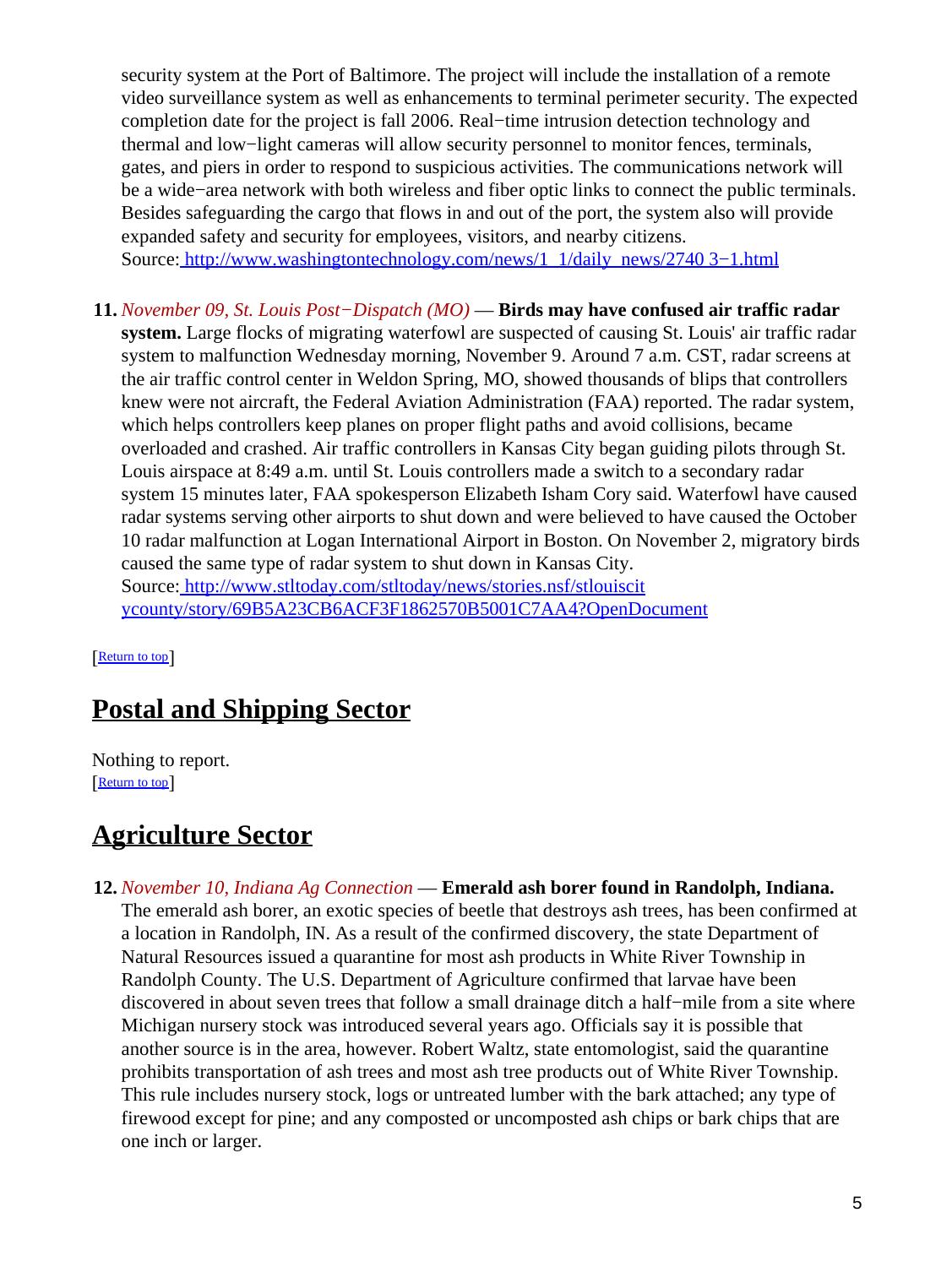security system at the Port of Baltimore. The project will include the installation of a remote video surveillance system as well as enhancements to terminal perimeter security. The expected completion date for the project is fall 2006. Real−time intrusion detection technology and thermal and low−light cameras will allow security personnel to monitor fences, terminals, gates, and piers in order to respond to suspicious activities. The communications network will be a wide−area network with both wireless and fiber optic links to connect the public terminals. Besides safeguarding the cargo that flows in and out of the port, the system also will provide expanded safety and security for employees, visitors, and nearby citizens. Source[: http://www.washingtontechnology.com/news/1\\_1/daily\\_news/2740 3−1.html](http://www.washingtontechnology.com/news/1_1/daily_news/27403-1.html)

**11.** *November 09, St. Louis Post−Dispatch (MO)* — **Birds may have confused air traffic radar system.** Large flocks of migrating waterfowl are suspected of causing St. Louis' air traffic radar system to malfunction Wednesday morning, November 9. Around 7 a.m. CST, radar screens at the air traffic control center in Weldon Spring, MO, showed thousands of blips that controllers knew were not aircraft, the Federal Aviation Administration (FAA) reported. The radar system, which helps controllers keep planes on proper flight paths and avoid collisions, became overloaded and crashed. Air traffic controllers in Kansas City began guiding pilots through St. Louis airspace at 8:49 a.m. until St. Louis controllers made a switch to a secondary radar system 15 minutes later, FAA spokesperson Elizabeth Isham Cory said. Waterfowl have caused radar systems serving other airports to shut down and were believed to have caused the October 10 radar malfunction at Logan International Airport in Boston. On November 2, migratory birds caused the same type of radar system to shut down in Kansas City. Source[: http://www.stltoday.com/stltoday/news/stories.nsf/stlouiscit](http://www.stltoday.com/stltoday/news/stories.nsf/stlouiscitycounty/story/69B5A23CB6ACF3F1862570B5001C7AA4?OpenDocument) [ycounty/story/69B5A23CB6ACF3F1862570B5001C7AA4?OpenDocument](http://www.stltoday.com/stltoday/news/stories.nsf/stlouiscitycounty/story/69B5A23CB6ACF3F1862570B5001C7AA4?OpenDocument)

[[Return to top](#page-0-1)]

# <span id="page-4-0"></span>**Postal and Shipping Sector**

Nothing to report. [[Return to top](#page-0-1)]

## <span id="page-4-1"></span>**Agriculture Sector**

#### **12.** *November 10, Indiana Ag Connection* — **Emerald ash borer found in Randolph, Indiana.** The emerald ash borer, an exotic species of beetle that destroys ash trees, has been confirmed at

a location in Randolph, IN. As a result of the confirmed discovery, the state Department of Natural Resources issued a quarantine for most ash products in White River Township in Randolph County. The U.S. Department of Agriculture confirmed that larvae have been discovered in about seven trees that follow a small drainage ditch a half−mile from a site where Michigan nursery stock was introduced several years ago. Officials say it is possible that another source is in the area, however. Robert Waltz, state entomologist, said the quarantine prohibits transportation of ash trees and most ash tree products out of White River Township. This rule includes nursery stock, logs or untreated lumber with the bark attached; any type of firewood except for pine; and any composted or uncomposted ash chips or bark chips that are one inch or larger.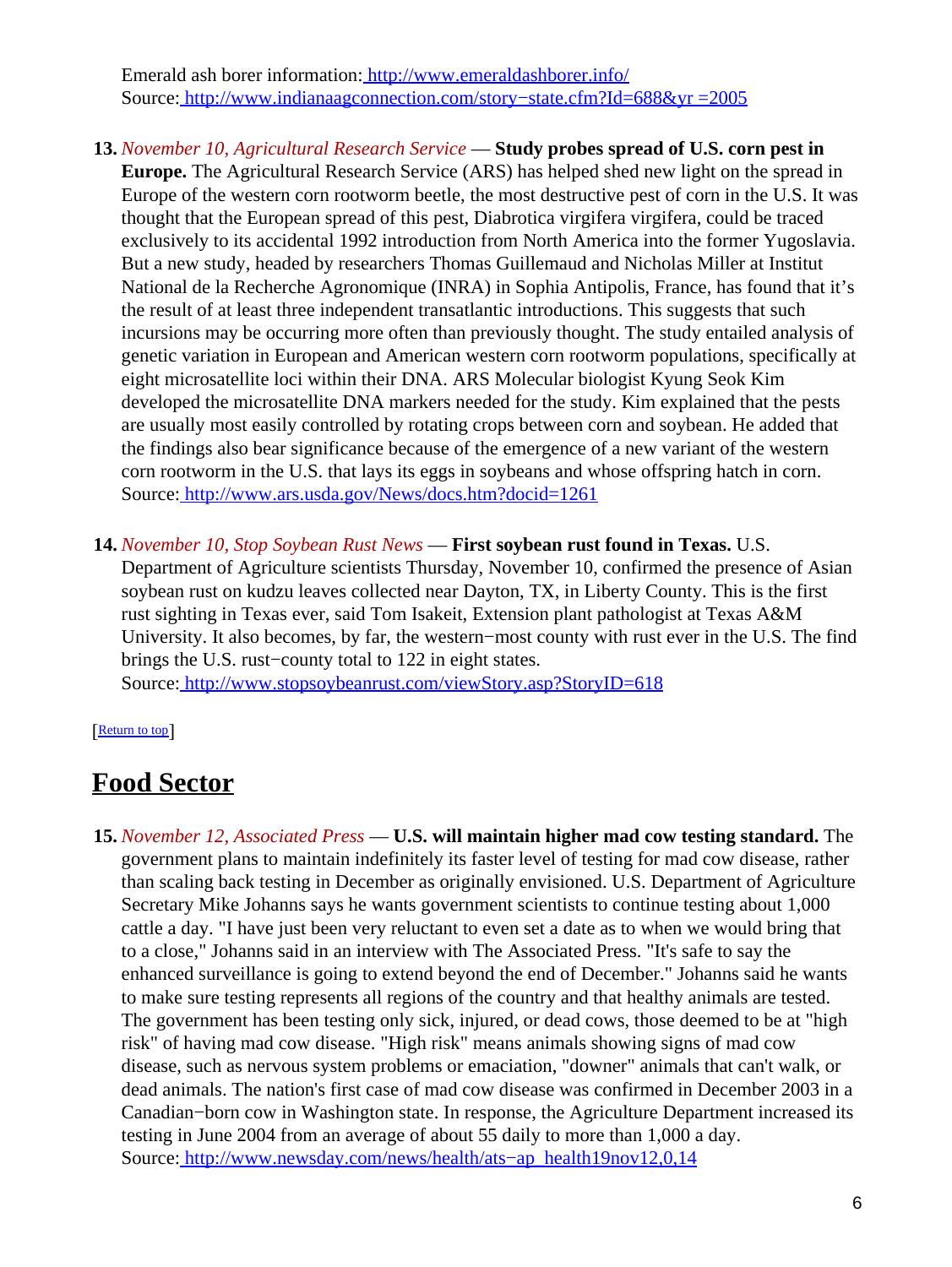Emerald ash borer information:<http://www.emeraldashborer.info/> Source[: http://www.indianaagconnection.com/story−state.cfm?Id=688&yr =2005](http://www.indianaagconnection.com/story-state.cfm?Id=688&yr=2005)

- **13.** *November 10, Agricultural Research Service* — **Study probes spread of U.S. corn pest in Europe.** The Agricultural Research Service (ARS) has helped shed new light on the spread in Europe of the western corn rootworm beetle, the most destructive pest of corn in the U.S. It was thought that the European spread of this pest, Diabrotica virgifera virgifera, could be traced exclusively to its accidental 1992 introduction from North America into the former Yugoslavia. But a new study, headed by researchers Thomas Guillemaud and Nicholas Miller at Institut National de la Recherche Agronomique (INRA) in Sophia Antipolis, France, has found that it's the result of at least three independent transatlantic introductions. This suggests that such incursions may be occurring more often than previously thought. The study entailed analysis of genetic variation in European and American western corn rootworm populations, specifically at eight microsatellite loci within their DNA. ARS Molecular biologist Kyung Seok Kim developed the microsatellite DNA markers needed for the study. Kim explained that the pests are usually most easily controlled by rotating crops between corn and soybean. He added that the findings also bear significance because of the emergence of a new variant of the western corn rootworm in the U.S. that lays its eggs in soybeans and whose offspring hatch in corn. Source[: http://www.ars.usda.gov/News/docs.htm?docid=1261](http://www.ars.usda.gov/News/docs.htm?docid=1261)
- **14.** *November 10, Stop Soybean Rust News* — **First soybean rust found in Texas.** U.S. Department of Agriculture scientists Thursday, November 10, confirmed the presence of Asian soybean rust on kudzu leaves collected near Dayton, TX, in Liberty County. This is the first rust sighting in Texas ever, said Tom Isakeit, Extension plant pathologist at Texas A&M University. It also becomes, by far, the western−most county with rust ever in the U.S. The find brings the U.S. rust−county total to 122 in eight states.

Source[: http://www.stopsoybeanrust.com/viewStory.asp?StoryID=618](http://www.stopsoybeanrust.com/viewStory.asp?StoryID=618)

#### [[Return to top](#page-0-1)]

### <span id="page-5-0"></span>**Food Sector**

**15.** *November 12, Associated Press* — **U.S. will maintain higher mad cow testing standard.** The government plans to maintain indefinitely its faster level of testing for mad cow disease, rather than scaling back testing in December as originally envisioned. U.S. Department of Agriculture Secretary Mike Johanns says he wants government scientists to continue testing about 1,000 cattle a day. "I have just been very reluctant to even set a date as to when we would bring that to a close," Johanns said in an interview with The Associated Press. "It's safe to say the enhanced surveillance is going to extend beyond the end of December." Johanns said he wants to make sure testing represents all regions of the country and that healthy animals are tested. The government has been testing only sick, injured, or dead cows, those deemed to be at "high risk" of having mad cow disease. "High risk" means animals showing signs of mad cow disease, such as nervous system problems or emaciation, "downer" animals that can't walk, or dead animals. The nation's first case of mad cow disease was confirmed in December 2003 in a Canadian−born cow in Washington state. In response, the Agriculture Department increased its testing in June 2004 from an average of about 55 daily to more than 1,000 a day. Source[: http://www.newsday.com/news/health/ats−ap\\_health19nov12,0,14](http://www.newsday.com/news/health/ats-ap_health19nov12,0,1462593.story?coll=ny-leadhealthnews-headlines)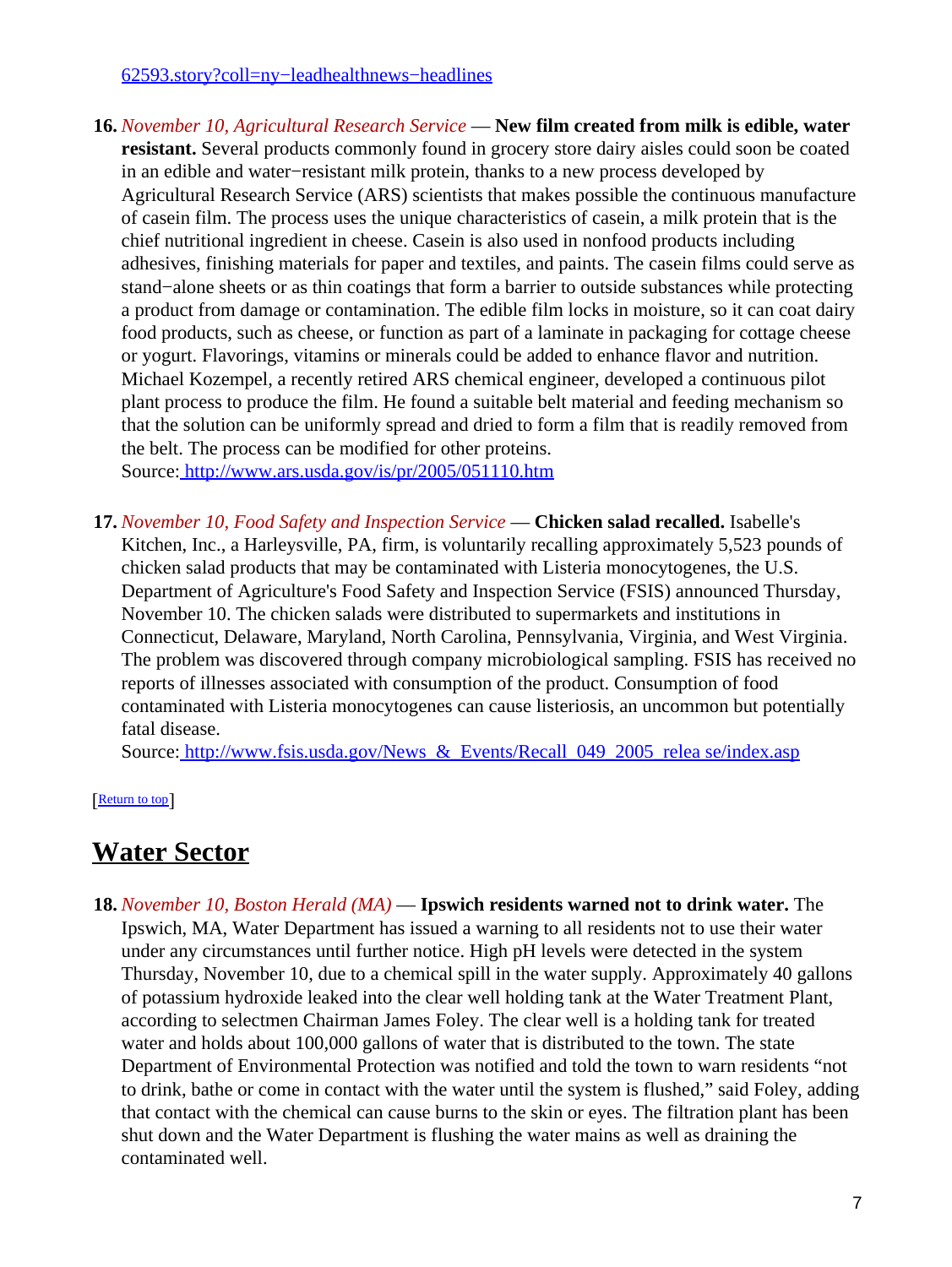#### [62593.story?coll=ny−leadhealthnews−headlines](http://www.newsday.com/news/health/ats-ap_health19nov12,0,1462593.story?coll=ny-leadhealthnews-headlines)

- **16.** *November 10, Agricultural Research Service* — **New film created from milk is edible, water resistant.** Several products commonly found in grocery store dairy aisles could soon be coated in an edible and water−resistant milk protein, thanks to a new process developed by Agricultural Research Service (ARS) scientists that makes possible the continuous manufacture of casein film. The process uses the unique characteristics of casein, a milk protein that is the chief nutritional ingredient in cheese. Casein is also used in nonfood products including adhesives, finishing materials for paper and textiles, and paints. The casein films could serve as stand−alone sheets or as thin coatings that form a barrier to outside substances while protecting a product from damage or contamination. The edible film locks in moisture, so it can coat dairy food products, such as cheese, or function as part of a laminate in packaging for cottage cheese or yogurt. Flavorings, vitamins or minerals could be added to enhance flavor and nutrition. Michael Kozempel, a recently retired ARS chemical engineer, developed a continuous pilot plant process to produce the film. He found a suitable belt material and feeding mechanism so that the solution can be uniformly spread and dried to form a film that is readily removed from the belt. The process can be modified for other proteins. Source[: http://www.ars.usda.gov/is/pr/2005/051110.htm](http://www.ars.usda.gov/is/pr/2005/051110.htm)
- **17.** *November 10, Food Safety and Inspection Service* — **Chicken salad recalled.** Isabelle's Kitchen, Inc., a Harleysville, PA, firm, is voluntarily recalling approximately 5,523 pounds of chicken salad products that may be contaminated with Listeria monocytogenes, the U.S. Department of Agriculture's Food Safety and Inspection Service (FSIS) announced Thursday, November 10. The chicken salads were distributed to supermarkets and institutions in Connecticut, Delaware, Maryland, North Carolina, Pennsylvania, Virginia, and West Virginia. The problem was discovered through company microbiological sampling. FSIS has received no reports of illnesses associated with consumption of the product. Consumption of food contaminated with Listeria monocytogenes can cause listeriosis, an uncommon but potentially fatal disease.

Source: http://www.fsis.usda.gov/News & Events/Recall 049 2005 relea se/index.asp

[[Return to top](#page-0-1)]

## <span id="page-6-0"></span>**Water Sector**

**18.** *November 10, Boston Herald (MA)* — **Ipswich residents warned not to drink water.** The Ipswich, MA, Water Department has issued a warning to all residents not to use their water under any circumstances until further notice. High pH levels were detected in the system Thursday, November 10, due to a chemical spill in the water supply. Approximately 40 gallons of potassium hydroxide leaked into the clear well holding tank at the Water Treatment Plant, according to selectmen Chairman James Foley. The clear well is a holding tank for treated water and holds about 100,000 gallons of water that is distributed to the town. The state Department of Environmental Protection was notified and told the town to warn residents "not to drink, bathe or come in contact with the water until the system is flushed," said Foley, adding that contact with the chemical can cause burns to the skin or eyes. The filtration plant has been shut down and the Water Department is flushing the water mains as well as draining the contaminated well.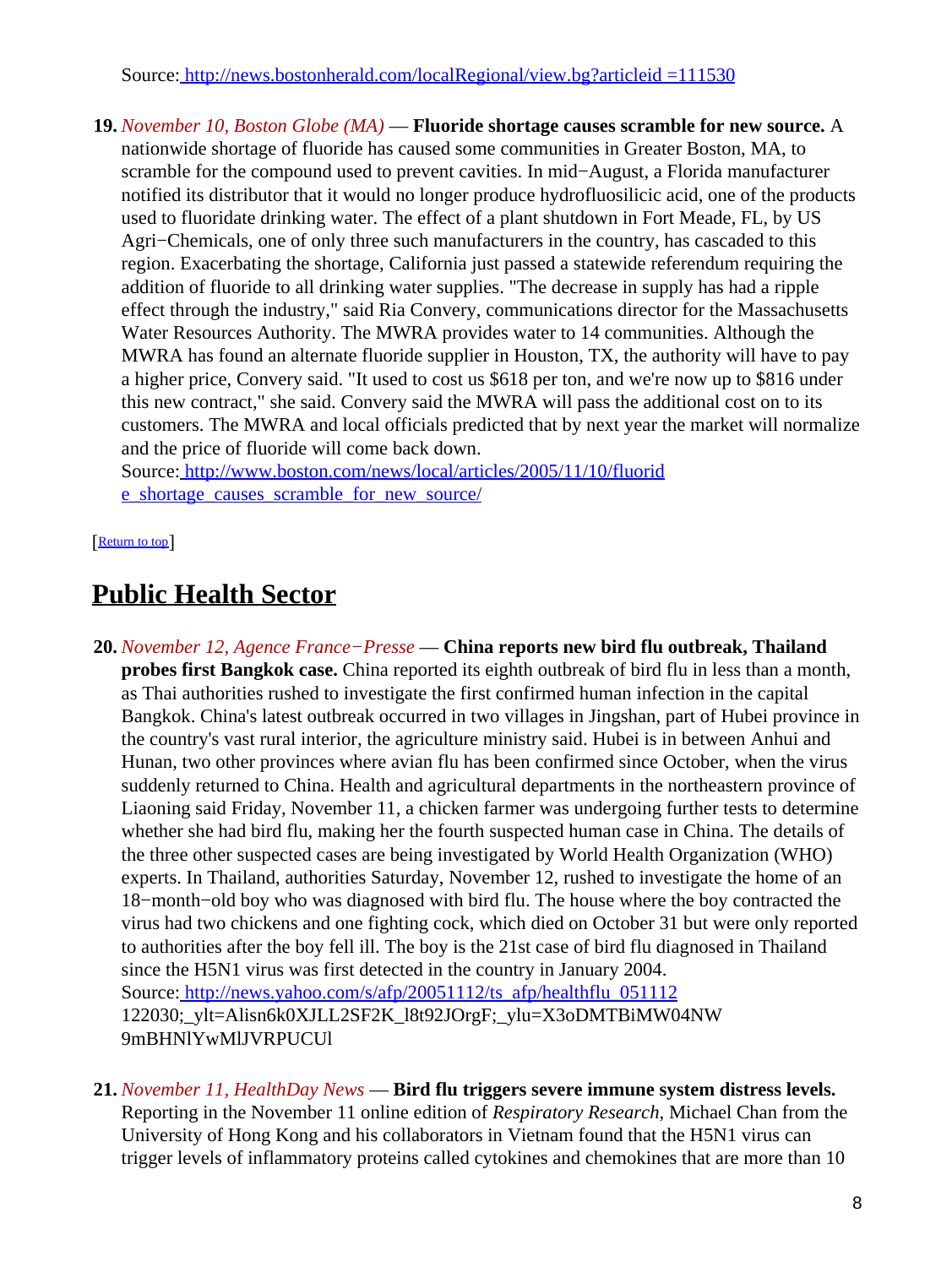Source[: http://news.bostonherald.com/localRegional/view.bg?articleid =111530](http://news.bostonherald.com/localRegional/view.bg?articleid=111530)

**19.** *November 10, Boston Globe (MA)* — **Fluoride shortage causes scramble for new source.** A nationwide shortage of fluoride has caused some communities in Greater Boston, MA, to scramble for the compound used to prevent cavities. In mid−August, a Florida manufacturer notified its distributor that it would no longer produce hydrofluosilicic acid, one of the products used to fluoridate drinking water. The effect of a plant shutdown in Fort Meade, FL, by US Agri−Chemicals, one of only three such manufacturers in the country, has cascaded to this region. Exacerbating the shortage, California just passed a statewide referendum requiring the addition of fluoride to all drinking water supplies. "The decrease in supply has had a ripple effect through the industry," said Ria Convery, communications director for the Massachusetts Water Resources Authority. The MWRA provides water to 14 communities. Although the MWRA has found an alternate fluoride supplier in Houston, TX, the authority will have to pay a higher price, Convery said. "It used to cost us \$618 per ton, and we're now up to \$816 under this new contract," she said. Convery said the MWRA will pass the additional cost on to its customers. The MWRA and local officials predicted that by next year the market will normalize and the price of fluoride will come back down.

Source[: http://www.boston.com/news/local/articles/2005/11/10/fluorid](http://www.boston.com/news/local/articles/2005/11/10/fluoride_shortage_causes_scramble_for_new_source/) [e\\_shortage\\_causes\\_scramble\\_for\\_new\\_source/](http://www.boston.com/news/local/articles/2005/11/10/fluoride_shortage_causes_scramble_for_new_source/)

[[Return to top](#page-0-1)]

# <span id="page-7-0"></span>**Public Health Sector**

- **20.** *November 12, Agence France−Presse* — **China reports new bird flu outbreak, Thailand probes first Bangkok case.** China reported its eighth outbreak of bird flu in less than a month, as Thai authorities rushed to investigate the first confirmed human infection in the capital Bangkok. China's latest outbreak occurred in two villages in Jingshan, part of Hubei province in the country's vast rural interior, the agriculture ministry said. Hubei is in between Anhui and Hunan, two other provinces where avian flu has been confirmed since October, when the virus suddenly returned to China. Health and agricultural departments in the northeastern province of Liaoning said Friday, November 11, a chicken farmer was undergoing further tests to determine whether she had bird flu, making her the fourth suspected human case in China. The details of the three other suspected cases are being investigated by World Health Organization (WHO) experts. In Thailand, authorities Saturday, November 12, rushed to investigate the home of an 18−month−old boy who was diagnosed with bird flu. The house where the boy contracted the virus had two chickens and one fighting cock, which died on October 31 but were only reported to authorities after the boy fell ill. The boy is the 21st case of bird flu diagnosed in Thailand since the H5N1 virus was first detected in the country in January 2004. Source[: http://news.yahoo.com/s/afp/20051112/ts\\_afp/healthflu\\_051112](http://news.yahoo.com/s/afp/20051112/ts_afp/healthflu_051112) 122030;\_ylt=Alisn6k0XJLL2SF2K\_l8t92JOrgF;\_ylu=X3oDMTBiMW04NW 9mBHNlYwMlJVRPUCUl
- **21.** *November 11, HealthDay News* — **Bird flu triggers severe immune system distress levels.** Reporting in the November 11 online edition of *Respiratory Research*, Michael Chan from the University of Hong Kong and his collaborators in Vietnam found that the H5N1 virus can trigger levels of inflammatory proteins called cytokines and chemokines that are more than 10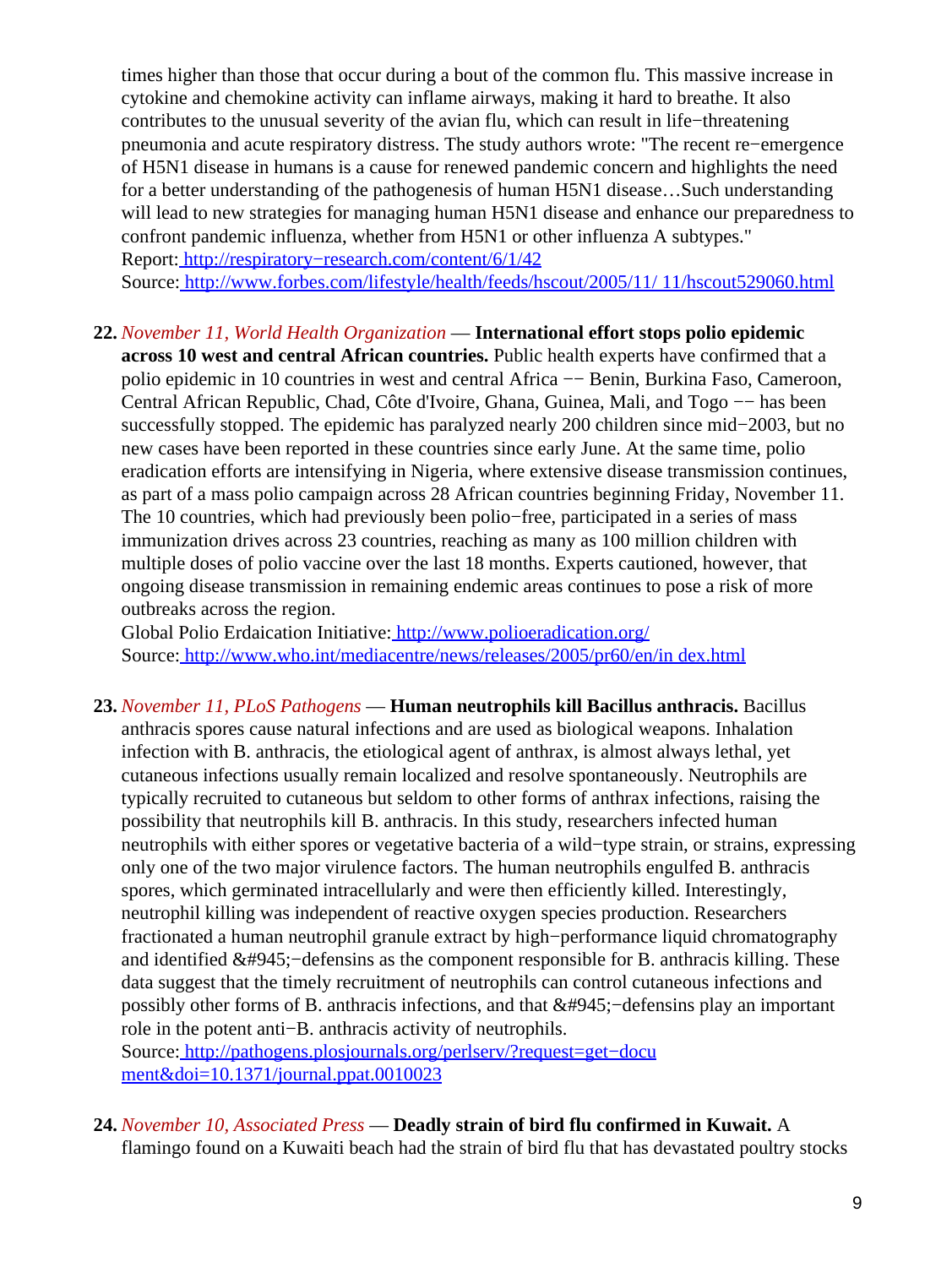times higher than those that occur during a bout of the common flu. This massive increase in cytokine and chemokine activity can inflame airways, making it hard to breathe. It also contributes to the unusual severity of the avian flu, which can result in life−threatening pneumonia and acute respiratory distress. The study authors wrote: "The recent re−emergence of H5N1 disease in humans is a cause for renewed pandemic concern and highlights the need for a better understanding of the pathogenesis of human H5N1 disease…Such understanding will lead to new strategies for managing human H5N1 disease and enhance our preparedness to confront pandemic influenza, whether from H5N1 or other influenza A subtypes." Report: [http://respiratory−research.com/content/6/1/42](http://respiratory-research.com/content/6/1/42)

Source[: http://www.forbes.com/lifestyle/health/feeds/hscout/2005/11/ 11/hscout529060.html](http://www.forbes.com/lifestyle/health/feeds/hscout/2005/11/11/hscout529060.html)

### **22.** *November 11, World Health Organization* — **International effort stops polio epidemic**

**across 10 west and central African countries.** Public health experts have confirmed that a polio epidemic in 10 countries in west and central Africa −− Benin, Burkina Faso, Cameroon, Central African Republic, Chad, Côte d'Ivoire, Ghana, Guinea, Mali, and Togo −− has been successfully stopped. The epidemic has paralyzed nearly 200 children since mid−2003, but no new cases have been reported in these countries since early June. At the same time, polio eradication efforts are intensifying in Nigeria, where extensive disease transmission continues, as part of a mass polio campaign across 28 African countries beginning Friday, November 11. The 10 countries, which had previously been polio−free, participated in a series of mass immunization drives across 23 countries, reaching as many as 100 million children with multiple doses of polio vaccine over the last 18 months. Experts cautioned, however, that ongoing disease transmission in remaining endemic areas continues to pose a risk of more outbreaks across the region.

Global Polio Erdaication Initiative:<http://www.polioeradication.org/> Source[: http://www.who.int/mediacentre/news/releases/2005/pr60/en/in dex.html](http://www.who.int/mediacentre/news/releases/2005/pr60/en/index.html)

**23.** *November 11, PLoS Pathogens* — **Human neutrophils kill Bacillus anthracis.** Bacillus anthracis spores cause natural infections and are used as biological weapons. Inhalation infection with B. anthracis, the etiological agent of anthrax, is almost always lethal, yet cutaneous infections usually remain localized and resolve spontaneously. Neutrophils are typically recruited to cutaneous but seldom to other forms of anthrax infections, raising the possibility that neutrophils kill B. anthracis. In this study, researchers infected human neutrophils with either spores or vegetative bacteria of a wild−type strain, or strains, expressing only one of the two major virulence factors. The human neutrophils engulfed B. anthracis spores, which germinated intracellularly and were then efficiently killed. Interestingly, neutrophil killing was independent of reactive oxygen species production. Researchers fractionated a human neutrophil granule extract by high−performance liquid chromatography and identified  $&\#945$ ; -defensins as the component responsible for B. anthracis killing. These data suggest that the timely recruitment of neutrophils can control cutaneous infections and possibly other forms of B. anthracis infections, and that  $&\#945$ ; -defensins play an important role in the potent anti−B. anthracis activity of neutrophils.

Source[: http://pathogens.plosjournals.org/perlserv/?request=get−docu](http://pathogens.plosjournals.org/perlserv/?request=get-document&doi=10.1371/journal.ppat.0010023) [ment&doi=10.1371/journal.ppat.0010023](http://pathogens.plosjournals.org/perlserv/?request=get-document&doi=10.1371/journal.ppat.0010023)

**24.** *November 10, Associated Press* — **Deadly strain of bird flu confirmed in Kuwait.** A flamingo found on a Kuwaiti beach had the strain of bird flu that has devastated poultry stocks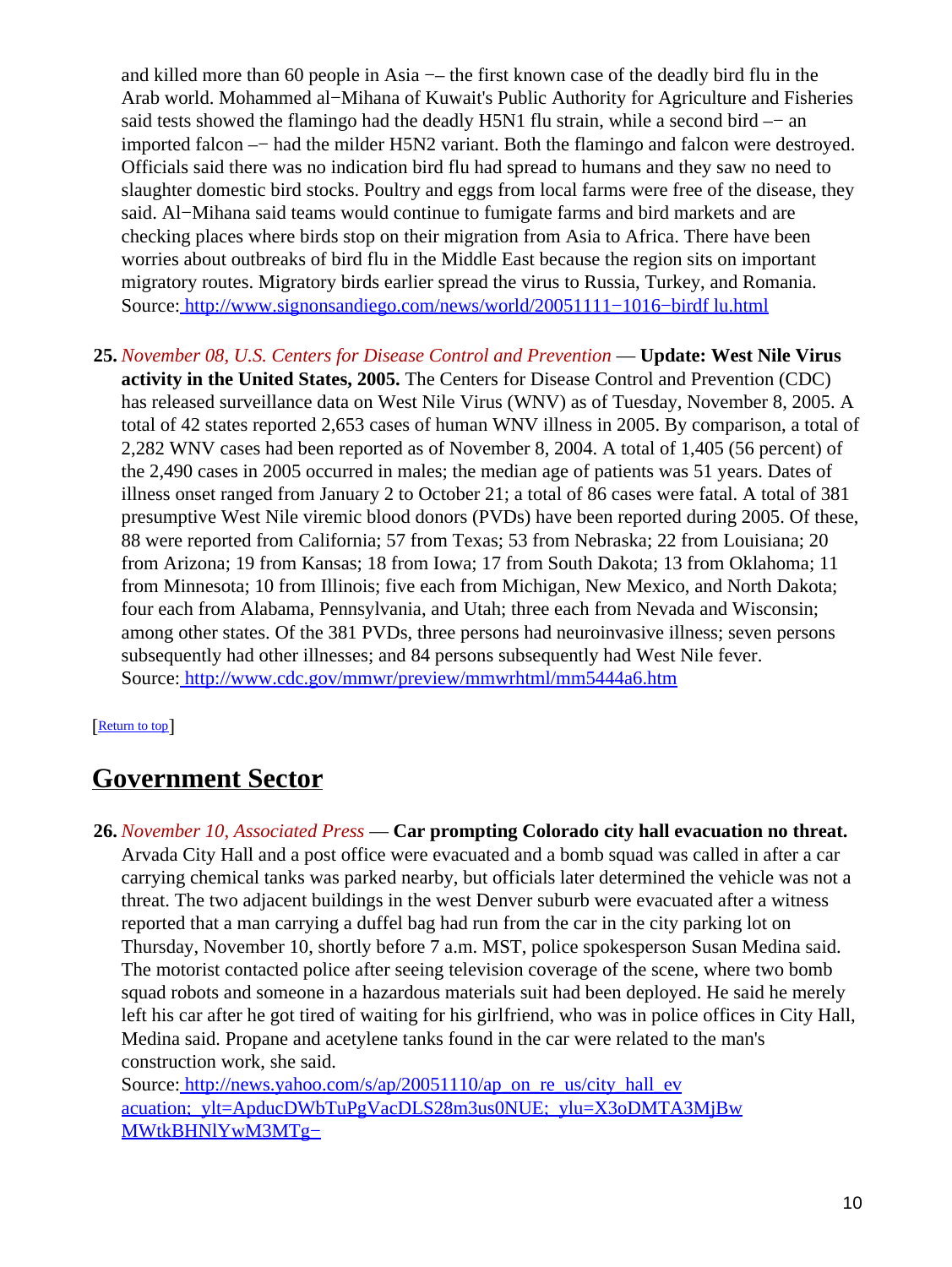and killed more than 60 people in Asia –– the first known case of the deadly bird flu in the Arab world. Mohammed al−Mihana of Kuwait's Public Authority for Agriculture and Fisheries said tests showed the flamingo had the deadly H5N1 flu strain, while a second bird –− an imported falcon –− had the milder H5N2 variant. Both the flamingo and falcon were destroyed. Officials said there was no indication bird flu had spread to humans and they saw no need to slaughter domestic bird stocks. Poultry and eggs from local farms were free of the disease, they said. Al−Mihana said teams would continue to fumigate farms and bird markets and are checking places where birds stop on their migration from Asia to Africa. There have been worries about outbreaks of bird flu in the Middle East because the region sits on important migratory routes. Migratory birds earlier spread the virus to Russia, Turkey, and Romania. Source[: http://www.signonsandiego.com/news/world/20051111−1016−birdf lu.html](http://www.signonsandiego.com/news/world/20051111-1016-birdflu.html)

**25.** *November 08, U.S. Centers for Disease Control and Prevention* — **Update: West Nile Virus activity in the United States, 2005.** The Centers for Disease Control and Prevention (CDC) has released surveillance data on West Nile Virus (WNV) as of Tuesday, November 8, 2005. A total of 42 states reported 2,653 cases of human WNV illness in 2005. By comparison, a total of 2,282 WNV cases had been reported as of November 8, 2004. A total of 1,405 (56 percent) of the 2,490 cases in 2005 occurred in males; the median age of patients was 51 years. Dates of illness onset ranged from January 2 to October 21; a total of 86 cases were fatal. A total of 381 presumptive West Nile viremic blood donors (PVDs) have been reported during 2005. Of these, 88 were reported from California; 57 from Texas; 53 from Nebraska; 22 from Louisiana; 20 from Arizona; 19 from Kansas; 18 from Iowa; 17 from South Dakota; 13 from Oklahoma; 11 from Minnesota; 10 from Illinois; five each from Michigan, New Mexico, and North Dakota; four each from Alabama, Pennsylvania, and Utah; three each from Nevada and Wisconsin; among other states. Of the 381 PVDs, three persons had neuroinvasive illness; seven persons subsequently had other illnesses; and 84 persons subsequently had West Nile fever. Source[: http://www.cdc.gov/mmwr/preview/mmwrhtml/mm5444a6.htm](http://www.cdc.gov/mmwr/preview/mmwrhtml/mm5444a6.htm)

#### [[Return to top](#page-0-1)]

## <span id="page-9-0"></span>**Government Sector**

**26.** *November 10, Associated Press* — **Car prompting Colorado city hall evacuation no threat.** Arvada City Hall and a post office were evacuated and a bomb squad was called in after a car carrying chemical tanks was parked nearby, but officials later determined the vehicle was not a threat. The two adjacent buildings in the west Denver suburb were evacuated after a witness reported that a man carrying a duffel bag had run from the car in the city parking lot on Thursday, November 10, shortly before 7 a.m. MST, police spokesperson Susan Medina said. The motorist contacted police after seeing television coverage of the scene, where two bomb squad robots and someone in a hazardous materials suit had been deployed. He said he merely left his car after he got tired of waiting for his girlfriend, who was in police offices in City Hall, Medina said. Propane and acetylene tanks found in the car were related to the man's construction work, she said.

Source[: http://news.yahoo.com/s/ap/20051110/ap\\_on\\_re\\_us/city\\_hall\\_ev](http://news.yahoo.com/s/ap/20051110/ap_on_re_us/city_hall_evacuation;_ylt=ApducDWbTuPgVacDLS28m3us0NUE;_ylu=X3oDMTA3MjBwMWtkBHNlYwM3MTg-) acuation; ylt=ApducDWbTuPgVacDLS28m3us0NUE; ylu=X3oDMTA3MjBw [MWtkBHNlYwM3MTg−](http://news.yahoo.com/s/ap/20051110/ap_on_re_us/city_hall_evacuation;_ylt=ApducDWbTuPgVacDLS28m3us0NUE;_ylu=X3oDMTA3MjBwMWtkBHNlYwM3MTg-)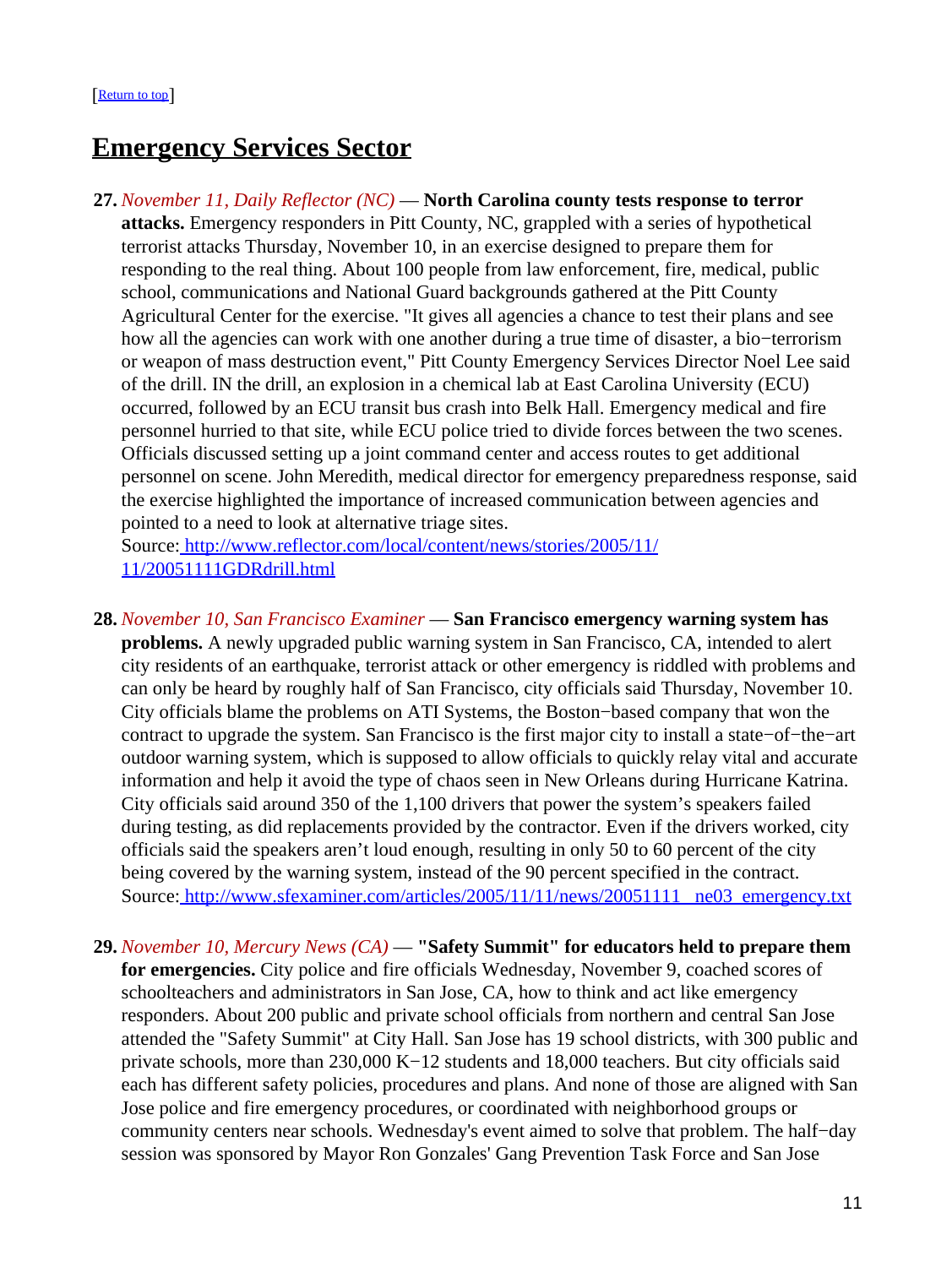## <span id="page-10-0"></span>**Emergency Services Sector**

**27.** *November 11, Daily Reflector (NC)* — **North Carolina county tests response to terror attacks.** Emergency responders in Pitt County, NC, grappled with a series of hypothetical terrorist attacks Thursday, November 10, in an exercise designed to prepare them for responding to the real thing. About 100 people from law enforcement, fire, medical, public school, communications and National Guard backgrounds gathered at the Pitt County Agricultural Center for the exercise. "It gives all agencies a chance to test their plans and see how all the agencies can work with one another during a true time of disaster, a bio−terrorism or weapon of mass destruction event," Pitt County Emergency Services Director Noel Lee said of the drill. IN the drill, an explosion in a chemical lab at East Carolina University (ECU) occurred, followed by an ECU transit bus crash into Belk Hall. Emergency medical and fire personnel hurried to that site, while ECU police tried to divide forces between the two scenes. Officials discussed setting up a joint command center and access routes to get additional personnel on scene. John Meredith, medical director for emergency preparedness response, said the exercise highlighted the importance of increased communication between agencies and pointed to a need to look at alternative triage sites.

Source[: http://www.reflector.com/local/content/news/stories/2005/11/](http://www.reflector.com/local/content/news/stories/2005/11/11/20051111GDRdrill.html) [11/20051111GDRdrill.html](http://www.reflector.com/local/content/news/stories/2005/11/11/20051111GDRdrill.html)

- **28.** *November 10, San Francisco Examiner* — **San Francisco emergency warning system has problems.** A newly upgraded public warning system in San Francisco, CA, intended to alert city residents of an earthquake, terrorist attack or other emergency is riddled with problems and can only be heard by roughly half of San Francisco, city officials said Thursday, November 10. City officials blame the problems on ATI Systems, the Boston−based company that won the contract to upgrade the system. San Francisco is the first major city to install a state−of−the−art outdoor warning system, which is supposed to allow officials to quickly relay vital and accurate information and help it avoid the type of chaos seen in New Orleans during Hurricane Katrina. City officials said around 350 of the 1,100 drivers that power the system's speakers failed during testing, as did replacements provided by the contractor. Even if the drivers worked, city officials said the speakers aren't loud enough, resulting in only 50 to 60 percent of the city being covered by the warning system, instead of the 90 percent specified in the contract. Source: http://www.sfexaminer.com/articles/2005/11/11/news/20051111\_ne03\_emergency.txt
- **29.** *November 10, Mercury News (CA)* — **"Safety Summit" for educators held to prepare them for emergencies.** City police and fire officials Wednesday, November 9, coached scores of schoolteachers and administrators in San Jose, CA, how to think and act like emergency responders. About 200 public and private school officials from northern and central San Jose attended the "Safety Summit" at City Hall. San Jose has 19 school districts, with 300 public and private schools, more than 230,000 K−12 students and 18,000 teachers. But city officials said each has different safety policies, procedures and plans. And none of those are aligned with San Jose police and fire emergency procedures, or coordinated with neighborhood groups or community centers near schools. Wednesday's event aimed to solve that problem. The half−day session was sponsored by Mayor Ron Gonzales' Gang Prevention Task Force and San Jose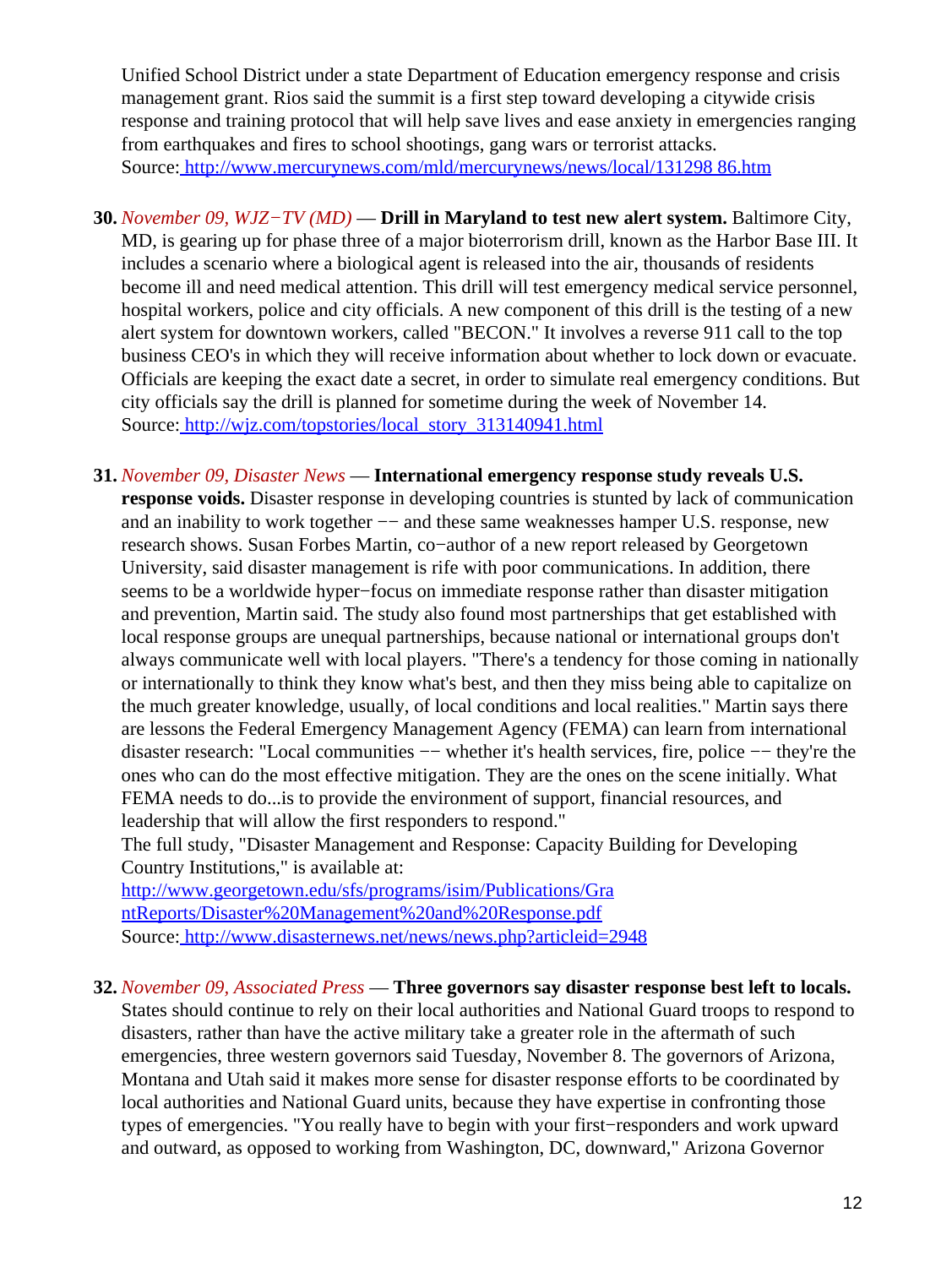Unified School District under a state Department of Education emergency response and crisis management grant. Rios said the summit is a first step toward developing a citywide crisis response and training protocol that will help save lives and ease anxiety in emergencies ranging from earthquakes and fires to school shootings, gang wars or terrorist attacks. Source[: http://www.mercurynews.com/mld/mercurynews/news/local/131298 86.htm](http://www.mercurynews.com/mld/mercurynews/news/local/13129886.htm)

- <span id="page-11-0"></span>**30.** *November 09, WJZ−TV (MD)* — **Drill in Maryland to test new alert system.** Baltimore City, MD, is gearing up for phase three of a major bioterrorism drill, known as the Harbor Base III. It includes a scenario where a biological agent is released into the air, thousands of residents become ill and need medical attention. This drill will test emergency medical service personnel, hospital workers, police and city officials. A new component of this drill is the testing of a new alert system for downtown workers, called "BECON." It involves a reverse 911 call to the top business CEO's in which they will receive information about whether to lock down or evacuate. Officials are keeping the exact date a secret, in order to simulate real emergency conditions. But city officials say the drill is planned for sometime during the week of November 14. Source[: http://wjz.com/topstories/local\\_story\\_313140941.html](http://wjz.com/topstories/local_story_313140941.html)
- **31.** *November 09, Disaster News* — **International emergency response study reveals U.S. response voids.** Disaster response in developing countries is stunted by lack of communication and an inability to work together –– and these same weaknesses hamper U.S. response, new research shows. Susan Forbes Martin, co−author of a new report released by Georgetown University, said disaster management is rife with poor communications. In addition, there seems to be a worldwide hyper−focus on immediate response rather than disaster mitigation and prevention, Martin said. The study also found most partnerships that get established with local response groups are unequal partnerships, because national or international groups don't always communicate well with local players. "There's a tendency for those coming in nationally or internationally to think they know what's best, and then they miss being able to capitalize on the much greater knowledge, usually, of local conditions and local realities." Martin says there are lessons the Federal Emergency Management Agency (FEMA) can learn from international disaster research: "Local communities −− whether it's health services, fire, police −− they're the ones who can do the most effective mitigation. They are the ones on the scene initially. What FEMA needs to do...is to provide the environment of support, financial resources, and leadership that will allow the first responders to respond."

The full study, "Disaster Management and Response: Capacity Building for Developing Country Institutions," is available at:

[http://www.georgetown.edu/sfs/programs/isim/Publications/Gra](http://www.georgetown.edu/sfs/programs/isim/Publications/GrantReports/Disaster%20Management%20and%20Response.pdf) [ntReports/Disaster%20Management%20and%20Response.pdf](http://www.georgetown.edu/sfs/programs/isim/Publications/GrantReports/Disaster%20Management%20and%20Response.pdf) Source[: http://www.disasternews.net/news/news.php?articleid=2948](http://www.disasternews.net/news/news.php?articleid=2948)

### **32.** *November 09, Associated Press* — **Three governors say disaster response best left to locals.**

States should continue to rely on their local authorities and National Guard troops to respond to disasters, rather than have the active military take a greater role in the aftermath of such emergencies, three western governors said Tuesday, November 8. The governors of Arizona, Montana and Utah said it makes more sense for disaster response efforts to be coordinated by local authorities and National Guard units, because they have expertise in confronting those types of emergencies. "You really have to begin with your first−responders and work upward and outward, as opposed to working from Washington, DC, downward," Arizona Governor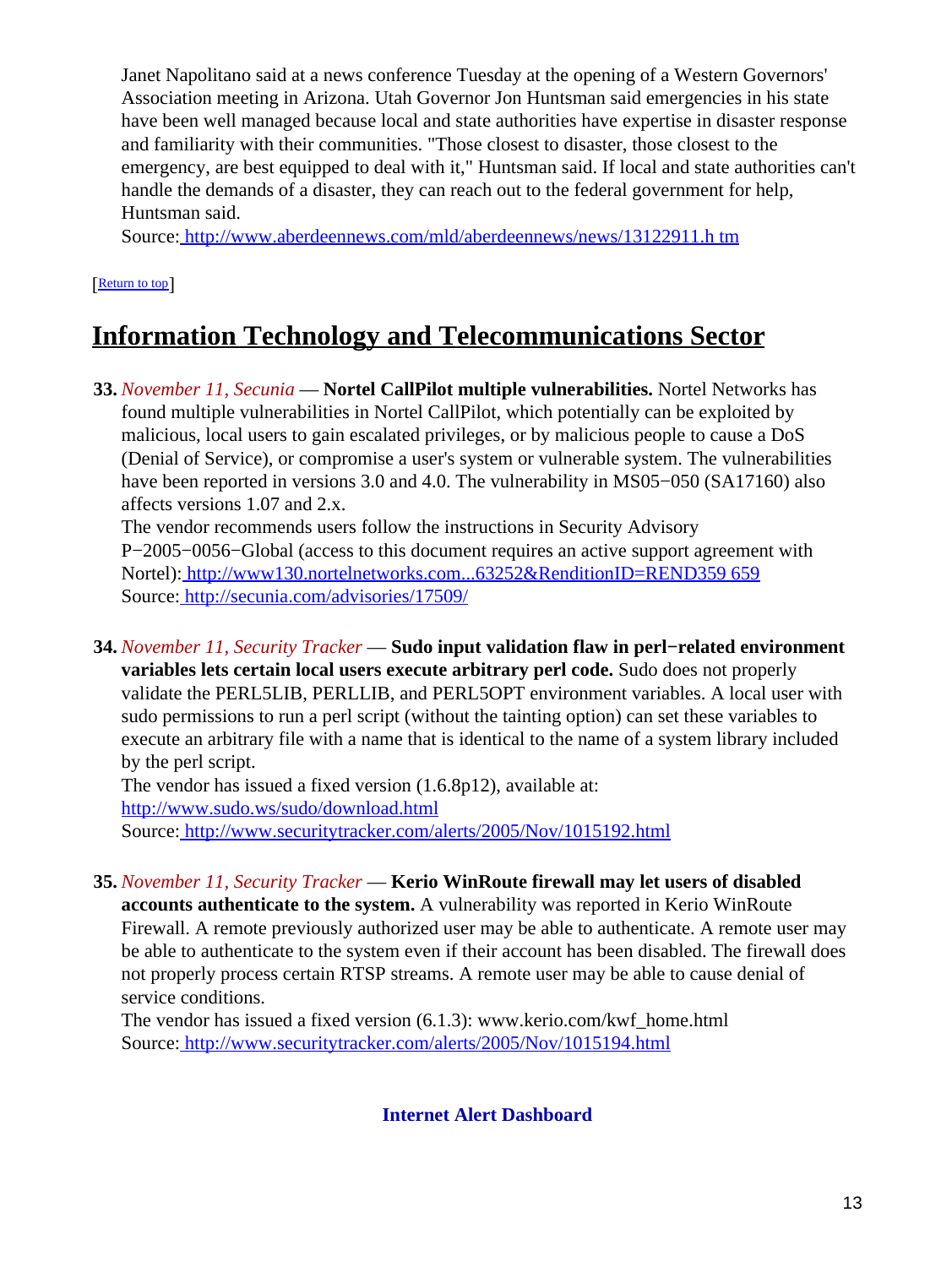Janet Napolitano said at a news conference Tuesday at the opening of a Western Governors' Association meeting in Arizona. Utah Governor Jon Huntsman said emergencies in his state have been well managed because local and state authorities have expertise in disaster response and familiarity with their communities. "Those closest to disaster, those closest to the emergency, are best equipped to deal with it," Huntsman said. If local and state authorities can't handle the demands of a disaster, they can reach out to the federal government for help, Huntsman said.

Source[: http://www.aberdeennews.com/mld/aberdeennews/news/13122911.h tm](http://www.aberdeennews.com/mld/aberdeennews/news/13122911.htm)

[[Return to top](#page-0-1)]

# <span id="page-12-0"></span>**Information Technology and Telecommunications Sector**

**33.** *November 11, Secunia* — **Nortel CallPilot multiple vulnerabilities.** Nortel Networks has found multiple vulnerabilities in Nortel CallPilot, which potentially can be exploited by malicious, local users to gain escalated privileges, or by malicious people to cause a DoS (Denial of Service), or compromise a user's system or vulnerable system. The vulnerabilities have been reported in versions 3.0 and 4.0. The vulnerability in MS05−050 (SA17160) also affects versions 1.07 and 2.x.

The vendor recommends users follow the instructions in Security Advisory P−2005−0056−Global (access to this document requires an active support agreement with Nortel): [http://www130.nortelnetworks.com...63252&RenditionID=REND359 659](http://www130.nortelnetworks.com...63252&RenditionID=REND359659) Source[: http://secunia.com/advisories/17509/](http://secunia.com/advisories/17509/)

**34.** *November 11, Security Tracker* — **Sudo input validation flaw in perl−related environment variables lets certain local users execute arbitrary perl code.** Sudo does not properly validate the PERL5LIB, PERLLIB, and PERL5OPT environment variables. A local user with sudo permissions to run a perl script (without the tainting option) can set these variables to execute an arbitrary file with a name that is identical to the name of a system library included by the perl script.

The vendor has issued a fixed version (1.6.8p12), available at: <http://www.sudo.ws/sudo/download.html> Source[: http://www.securitytracker.com/alerts/2005/Nov/1015192.html](http://www.securitytracker.com/alerts/2005/Nov/1015192.html)

**35.** *November 11, Security Tracker* — **Kerio WinRoute firewall may let users of disabled accounts authenticate to the system.** A vulnerability was reported in Kerio WinRoute Firewall. A remote previously authorized user may be able to authenticate. A remote user may be able to authenticate to the system even if their account has been disabled. The firewall does not properly process certain RTSP streams. A remote user may be able to cause denial of service conditions.

<span id="page-12-1"></span>The vendor has issued a fixed version (6.1.3): www.kerio.com/kwf\_home.html Source[: http://www.securitytracker.com/alerts/2005/Nov/1015194.html](http://www.securitytracker.com/alerts/2005/Nov/1015194.html)

**Internet Alert Dashboard**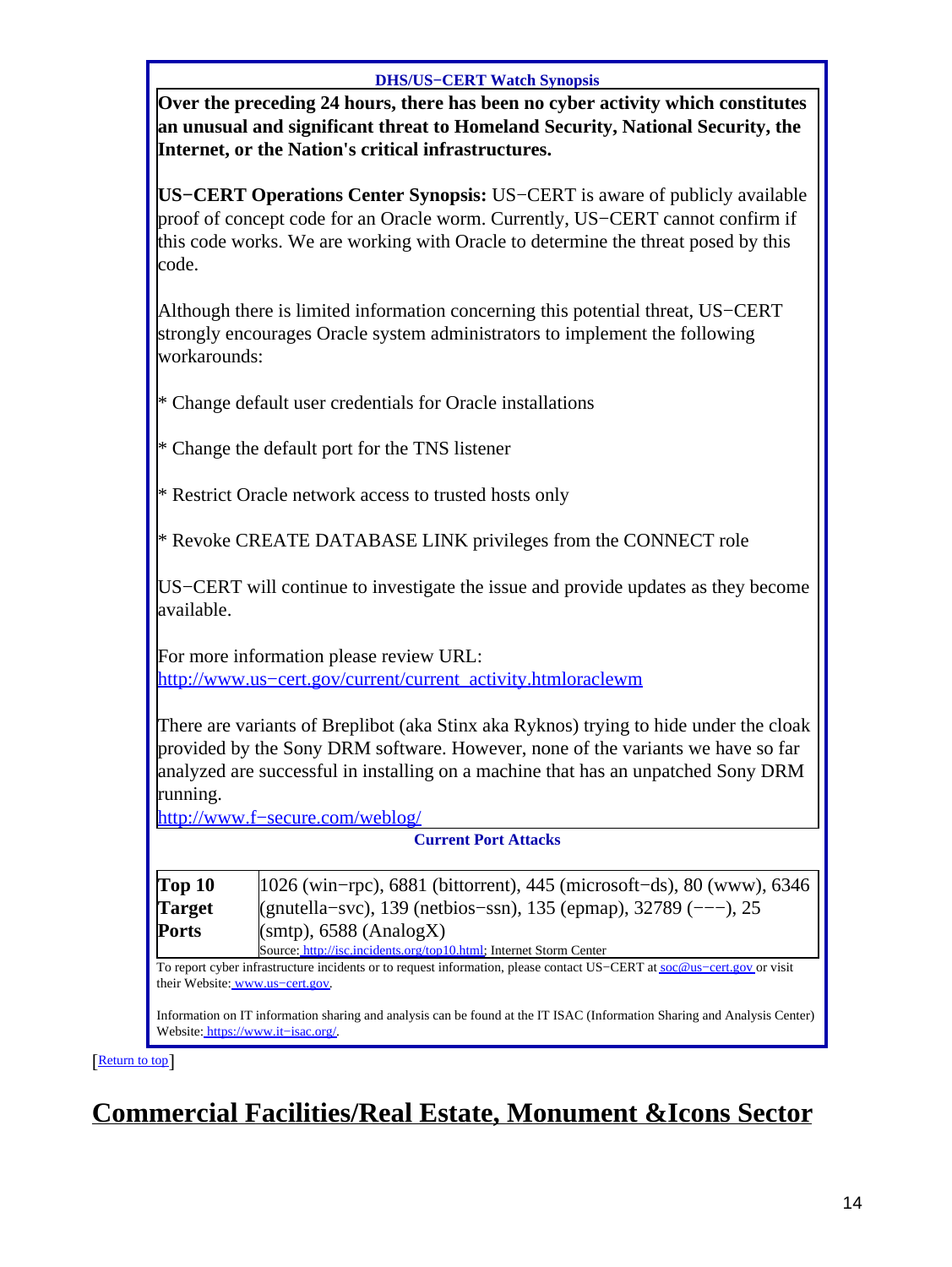#### **DHS/US−CERT Watch Synopsis**

**Over the preceding 24 hours, there has been no cyber activity which constitutes an unusual and significant threat to Homeland Security, National Security, the Internet, or the Nation's critical infrastructures.**

**US−CERT Operations Center Synopsis:** US−CERT is aware of publicly available proof of concept code for an Oracle worm. Currently, US−CERT cannot confirm if this code works. We are working with Oracle to determine the threat posed by this code.

| Although there is limited information concerning this potential threat, US-CERT |
|---------------------------------------------------------------------------------|
| strongly encourages Oracle system administrators to implement the following     |
| workarounds:                                                                    |

|  |  |  |  |  |  |  |  | * Change default user credentials for Oracle installations |
|--|--|--|--|--|--|--|--|------------------------------------------------------------|
|--|--|--|--|--|--|--|--|------------------------------------------------------------|

\* Change the default port for the TNS listener

\* Restrict Oracle network access to trusted hosts only

\* Revoke CREATE DATABASE LINK privileges from the CONNECT role

US−CERT will continue to investigate the issue and provide updates as they become available.

For more information please review URL: [http://www.us−cert.gov/current/current\\_activity.htmloraclewm](http://www.us-cert.gov/current/current_activity.htmloraclewm)

There are variants of Breplibot (aka Stinx aka Ryknos) trying to hide under the cloak provided by the Sony DRM software. However, none of the variants we have so far analyzed are successful in installing on a machine that has an unpatched Sony DRM running.

[http://www.f−secure.com/weblog/](http://www.f-secure.com/weblog/)

**Current Port Attacks**

| Top 10        | $ 1026 \text{ (win-pro)}$ , 6881 (bittorrent), 445 (microsoft-ds), 80 (www), 6346 |  |  |  |
|---------------|-----------------------------------------------------------------------------------|--|--|--|
| <b>Target</b> | (gnutella–svc), 139 (netbios–ssn), 135 (epmap), 32789 (---), 25                   |  |  |  |
| Ports         | $(smtp)$ , 6588 (AnalogX)                                                         |  |  |  |
|               | Source: http://isc.incidents.org/top10.html; Internet Storm Center                |  |  |  |

To report cyber infrastructure incidents or to request information, please contact US−CERT at [soc@us−cert.gov](mailto:soc@us-cert.gov) or visit their Website: [www.us−cert.gov.](http://www.us-cert.gov/)

Information on IT information sharing and analysis can be found at the IT ISAC (Information Sharing and Analysis Center) Website: [https://www.it−isac.org/.](https://www.it-isac.org/)

[[Return to top](#page-0-1)]

# <span id="page-13-0"></span>**Commercial Facilities/Real Estate, Monument &Icons Sector**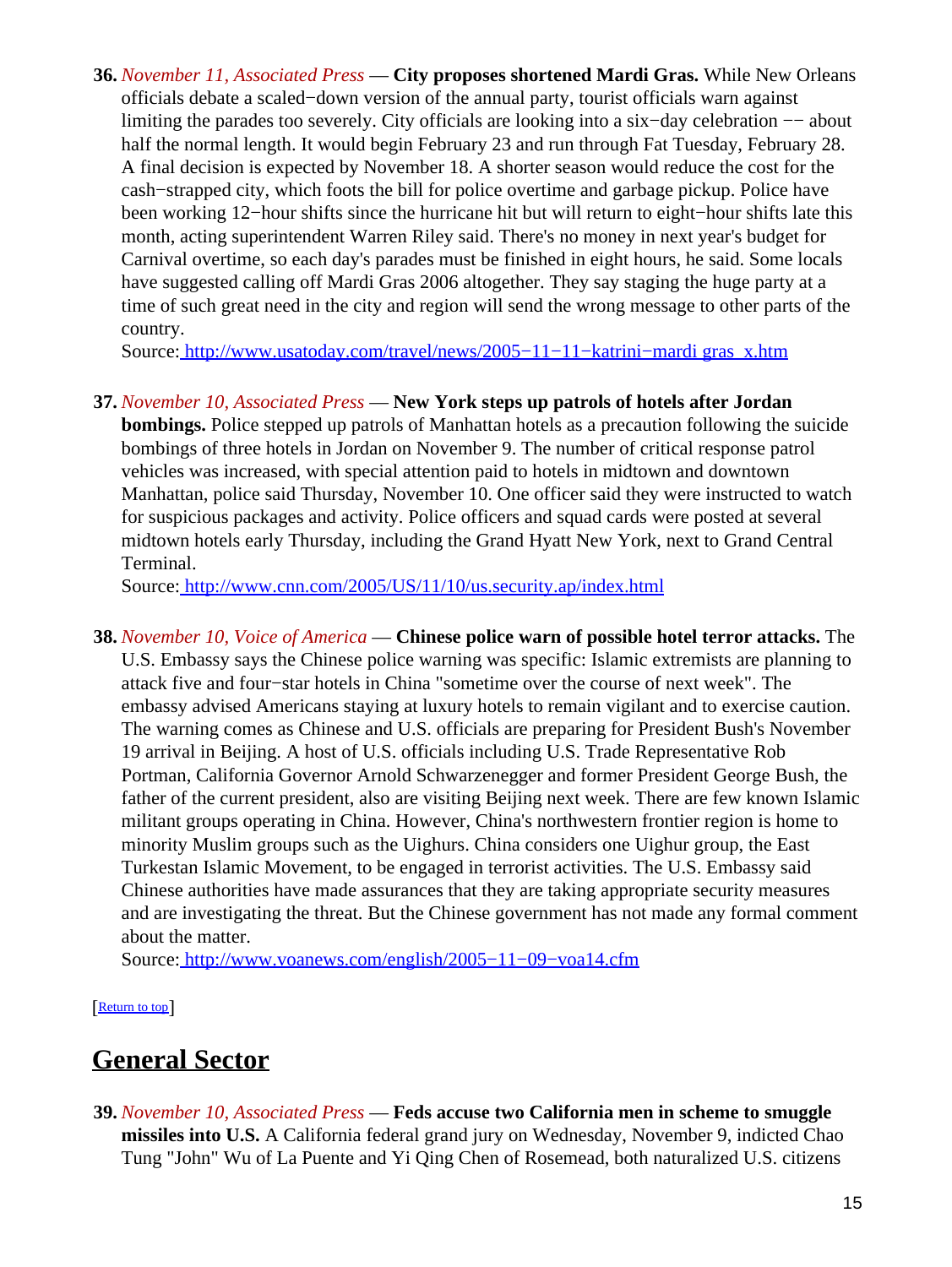**36.** *November 11, Associated Press* — **City proposes shortened Mardi Gras.** While New Orleans officials debate a scaled−down version of the annual party, tourist officials warn against limiting the parades too severely. City officials are looking into a six−day celebration −− about half the normal length. It would begin February 23 and run through Fat Tuesday, February 28. A final decision is expected by November 18. A shorter season would reduce the cost for the cash−strapped city, which foots the bill for police overtime and garbage pickup. Police have been working 12−hour shifts since the hurricane hit but will return to eight−hour shifts late this month, acting superintendent Warren Riley said. There's no money in next year's budget for Carnival overtime, so each day's parades must be finished in eight hours, he said. Some locals have suggested calling off Mardi Gras 2006 altogether. They say staging the huge party at a time of such great need in the city and region will send the wrong message to other parts of the country.

Source[: http://www.usatoday.com/travel/news/2005−11−11−katrini−mardi gras\\_x.htm](http://www.usatoday.com/travel/news/2005-11-11-katrini-mardigras_x.htm)

### **37.** *November 10, Associated Press* — **New York steps up patrols of hotels after Jordan**

**bombings.** Police stepped up patrols of Manhattan hotels as a precaution following the suicide bombings of three hotels in Jordan on November 9. The number of critical response patrol vehicles was increased, with special attention paid to hotels in midtown and downtown Manhattan, police said Thursday, November 10. One officer said they were instructed to watch for suspicious packages and activity. Police officers and squad cards were posted at several midtown hotels early Thursday, including the Grand Hyatt New York, next to Grand Central Terminal.

Source[: http://www.cnn.com/2005/US/11/10/us.security.ap/index.html](http://www.cnn.com/2005/US/11/10/us.security.ap/index.html)

**38.** *November 10, Voice of America* — **Chinese police warn of possible hotel terror attacks.** The U.S. Embassy says the Chinese police warning was specific: Islamic extremists are planning to attack five and four−star hotels in China "sometime over the course of next week". The embassy advised Americans staying at luxury hotels to remain vigilant and to exercise caution. The warning comes as Chinese and U.S. officials are preparing for President Bush's November 19 arrival in Beijing. A host of U.S. officials including U.S. Trade Representative Rob Portman, California Governor Arnold Schwarzenegger and former President George Bush, the father of the current president, also are visiting Beijing next week. There are few known Islamic militant groups operating in China. However, China's northwestern frontier region is home to minority Muslim groups such as the Uighurs. China considers one Uighur group, the East Turkestan Islamic Movement, to be engaged in terrorist activities. The U.S. Embassy said Chinese authorities have made assurances that they are taking appropriate security measures and are investigating the threat. But the Chinese government has not made any formal comment about the matter.

Source[: http://www.voanews.com/english/2005−11−09−voa14.cfm](http://www.voanews.com/english/2005-11-09-voa14.cfm)

[[Return to top](#page-0-1)]

# <span id="page-14-0"></span>**General Sector**

**39.** *November 10, Associated Press* — **Feds accuse two California men in scheme to smuggle missiles into U.S.** A California federal grand jury on Wednesday, November 9, indicted Chao Tung "John" Wu of La Puente and Yi Qing Chen of Rosemead, both naturalized U.S. citizens